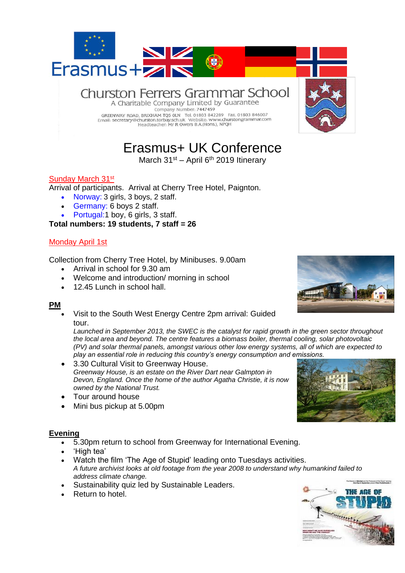

# Erasmus+ UK Conference

March  $31<sup>st</sup>$  – April 6<sup>th</sup> 2019 Itinerary

# Sunday March 31<sup>st</sup>

Arrival of participants. Arrival at Cherry Tree Hotel, Paignton.

- Norway: 3 girls, 3 boys, 2 staff.
- Germany: 6 boys 2 staff.
- Portugal: 1 boy, 6 girls, 3 staff.

#### **Total numbers: 19 students, 7 staff = 26**

### Monday April 1st

Collection from Cherry Tree Hotel, by Minibuses. 9.00am

- Arrival in school for 9.30 am
- Welcome and introduction/ morning in school
- 12.45 Lunch in school hall.

#### **PM**

• Visit to the South West Energy Centre 2pm arrival: Guided tour.

*Launched in September 2013, the SWEC is the catalyst for rapid growth in the green sector throughout the local area and beyond. The centre features a biomass boiler, thermal cooling, solar photovoltaic (PV) and solar thermal panels, amongst various other low energy systems, all of which are expected to play an essential role in reducing this country's energy consumption and emissions.*

- 3.30 Cultural Visit to Greenway House. *Greenway House, is an estate on the River Dart near Galmpton in Devon, England. Once the home of the author Agatha Christie, it is now owned by the National Trust.*
- Tour around house
- Mini bus pickup at 5.00pm

#### **Evening**

- 5.30pm return to school from Greenway for International Evening.
- 'High tea'
- Watch the film 'The Age of Stupid' leading onto Tuesdays activities. *A future archivist looks at old footage from the year 2008 to understand why humankind failed to address climate change.*
- Sustainability quiz led by Sustainable Leaders.
- Return to hotel.





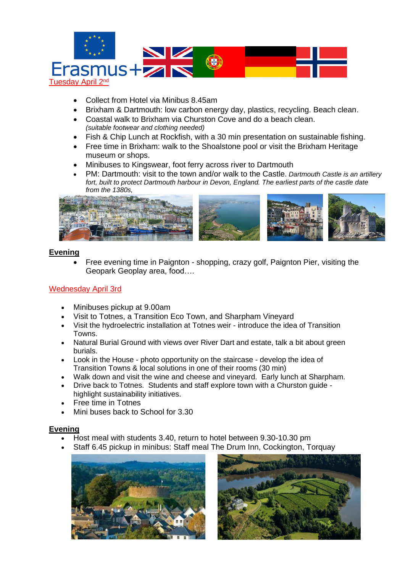

- Collect from Hotel via Minibus 8.45am
- Brixham & Dartmouth: low carbon energy day, plastics, recycling. Beach clean.
- Coastal walk to Brixham via Churston Cove and do a beach clean. *(suitable footwear and clothing needed)*
- Fish & Chip Lunch at Rockfish, with a 30 min presentation on sustainable fishing.
- Free time in Brixham: walk to the Shoalstone pool or visit the Brixham Heritage museum or shops.
- Minibuses to Kingswear, foot ferry across river to Dartmouth
- PM: Dartmouth: visit to the town and/or walk to the Castle. *Dartmouth Castle is an artillery fort, built to protect Dartmouth harbour in Devon, England. The earliest parts of the castle date from the 1380s,*



### **Evening**

• Free evening time in Paignton - shopping, crazy golf, Paignton Pier, visiting the Geopark Geoplay area, food….

# Wednesday April 3rd

- Minibuses pickup at 9.00am
- Visit to Totnes, a Transition Eco Town, and Sharpham Vineyard
- Visit the hydroelectric installation at Totnes weir introduce the idea of Transition Towns.
- Natural Burial Ground with views over River Dart and estate, talk a bit about green burials.
- Look in the House photo opportunity on the staircase develop the idea of Transition Towns & local solutions in one of their rooms (30 min)
- Walk down and visit the wine and cheese and vineyard. Early lunch at Sharpham.
- Drive back to Totnes. Students and staff explore town with a Churston guide highlight sustainability initiatives.
- Free time in Totnes
- Mini buses back to School for 3.30

#### **Evening**

- Host meal with students 3.40, return to hotel between 9.30-10.30 pm
- Staff 6.45 pickup in minibus: Staff meal The Drum Inn, Cockington, Torquay



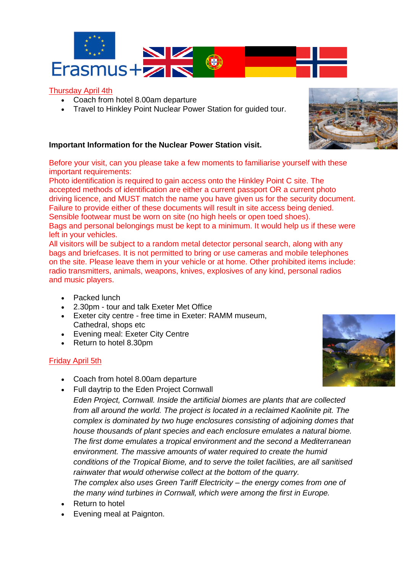

# Thursday April 4th

- Coach from hotel 8.00am departure
- Travel to Hinkley Point Nuclear Power Station for guided tour.

### **Important Information for the Nuclear Power Station visit.**

Before your visit, can you please take a few moments to familiarise yourself with these important requirements:

Photo identification is required to gain access onto the Hinkley Point C site. The accepted methods of identification are either a current passport OR a current photo driving licence, and MUST match the name you have given us for the security document. Failure to provide either of these documents will result in site access being denied. Sensible footwear must be worn on site (no high heels or open toed shoes). Bags and personal belongings must be kept to a minimum. It would help us if these were left in your vehicles.

All visitors will be subject to a random metal detector personal search, along with any bags and briefcases. It is not permitted to bring or use cameras and mobile telephones on the site. Please leave them in your vehicle or at home. Other prohibited items include: radio transmitters, animals, weapons, knives, explosives of any kind, personal radios and music players.

- Packed lunch
- 2.30pm tour and talk Exeter Met Office
- Exeter city centre free time in Exeter: RAMM museum, Cathedral, shops etc
- Evening meal: Exeter City Centre
- Return to hotel 8.30pm

# Friday April 5th

- Coach from hotel 8.00am departure
- Full daytrip to the Eden Project Cornwall

*Eden Project, Cornwall. Inside the artificial biomes are plants that are collected from all around the world. The project is located in a reclaimed Kaolinite pit. The complex is dominated by two huge enclosures consisting of adjoining domes that house thousands of plant species and each enclosure emulates a natural biome. The first dome emulates a tropical environment and the second a Mediterranean environment. The massive amounts of water required to create the humid conditions of the Tropical Biome, and to serve the toilet facilities, are all sanitised rainwater that would otherwise collect at the bottom of the quarry. The complex also uses Green Tariff Electricity – the energy comes from one of the many wind turbines in Cornwall, which were among the first in Europe.*

- Return to hotel
- Evening meal at Paignton.